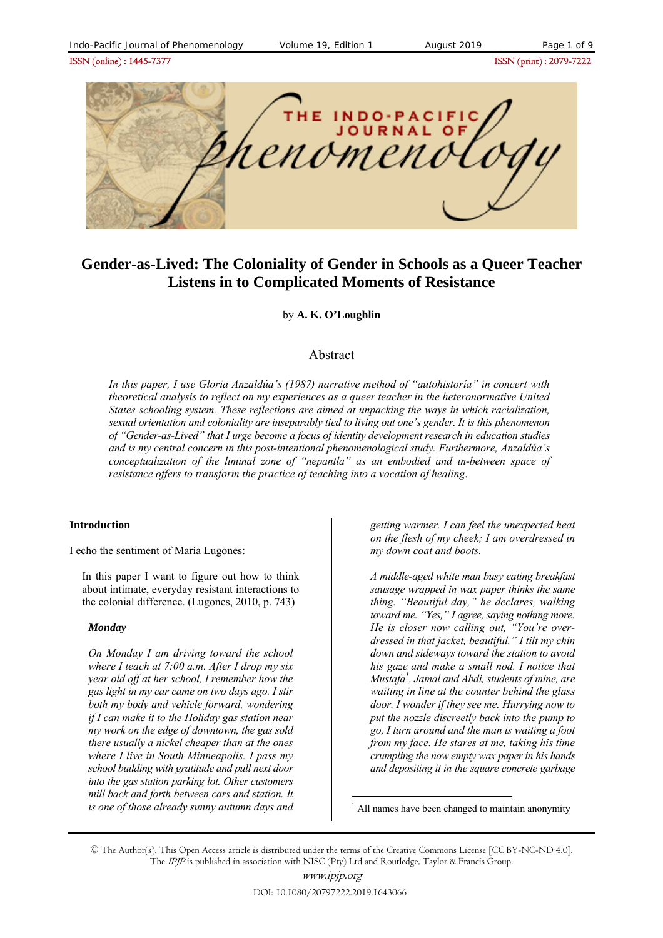ISSN (online) : 1445-7377ISSN (print) : 2079-7222



# **Gender-as-Lived: The Coloniality of Gender in Schools as a Queer Teacher Listens in to Complicated Moments of Resistance**

#### by **A. K. O'Loughlin**

## Abstract

*In this paper, I use Gloria Anzaldúa's (1987) narrative method of "autohistoría" in concert with theoretical analysis to reflect on my experiences as a queer teacher in the heteronormative United States schooling system. These reflections are aimed at unpacking the ways in which racialization, sexual orientation and coloniality are inseparably tied to living out one's gender. It is this phenomenon of "Gender-as-Lived" that I urge become a focus of identity development research in education studies and is my central concern in this post-intentional phenomenological study. Furthermore, Anzaldúa's conceptualization of the liminal zone of "nepantla" as an embodied and in-between space of resistance offers to transform the practice of teaching into a vocation of healing*.

#### **Introduction**

I echo the sentiment of María Lugones:

In this paper I want to figure out how to think about intimate, everyday resistant interactions to the colonial difference. (Lugones, 2010, p. 743)

#### *Monday*

*On Monday I am driving toward the school where I teach at 7:00 a.m. After I drop my six year old off at her school, I remember how the gas light in my car came on two days ago. I stir both my body and vehicle forward, wondering if I can make it to the Holiday gas station near my work on the edge of downtown, the gas sold there usually a nickel cheaper than at the ones where I live in South Minneapolis. I pass my school building with gratitude and pull next door into the gas station parking lot. Other customers mill back and forth between cars and station. It is one of those already sunny autumn days and*  *getting warmer. I can feel the unexpected heat on the flesh of my cheek; I am overdressed in my down coat and boots.* 

*A middle-aged white man busy eating breakfast sausage wrapped in wax paper thinks the same thing. "Beautiful day," he declares, walking toward me. "Yes," I agree, saying nothing more. He is closer now calling out, "You're overdressed in that jacket, beautiful." I tilt my chin down and sideways toward the station to avoid his gaze and make a small nod. I notice that Mustafa1 , Jamal and Abdi, students of mine, are waiting in line at the counter behind the glass door. I wonder if they see me. Hurrying now to put the nozzle discreetly back into the pump to go, I turn around and the man is waiting a foot from my face. He stares at me, taking his time crumpling the now empty wax paper in his hands and depositing it in the square concrete garbage* 

<sup>1</sup> All names have been changed to maintain anonymity

© The Author(s). This Open Access article is distributed under the terms of the Creative Commons License [CC BY-NC-ND 4.0]. The IPJP is published in association with NISC (Pty) Ltd and Routledge, Taylor & Francis Group.

 $\overline{a}$ 

www.ipjp.org DOI: 10.1080/20797222.2019.1643066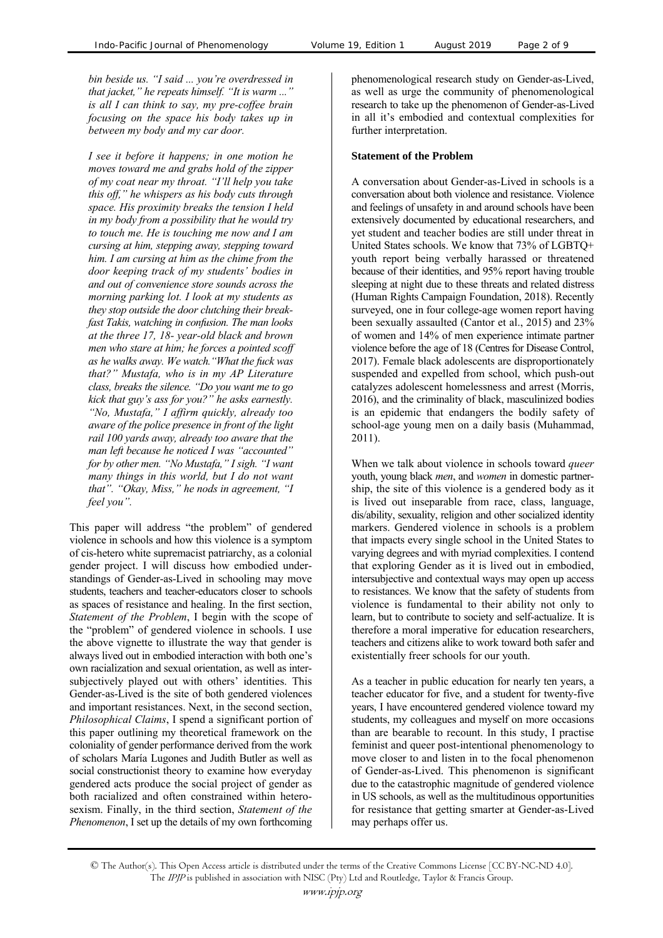*bin beside us. "I said ... you're overdressed in that jacket," he repeats himself. "It is warm ..." is all I can think to say, my pre-coffee brain focusing on the space his body takes up in between my body and my car door.* 

*I see it before it happens; in one motion he moves toward me and grabs hold of the zipper of my coat near my throat. "I'll help you take this off," he whispers as his body cuts through space. His proximity breaks the tension I held in my body from a possibility that he would try to touch me. He is touching me now and I am cursing at him, stepping away, stepping toward him. I am cursing at him as the chime from the door keeping track of my students' bodies in and out of convenience store sounds across the morning parking lot. I look at my students as they stop outside the door clutching their breakfast Takis, watching in confusion. The man looks at the three 17, 18- year-old black and brown men who stare at him; he forces a pointed scoff as he walks away. We watch."What the fuck was that?" Mustafa, who is in my AP Literature class, breaks the silence. "Do you want me to go kick that guy's ass for you?" he asks earnestly. "No, Mustafa," I affirm quickly, already too aware of the police presence in front of the light rail 100 yards away, already too aware that the man left because he noticed I was "accounted" for by other men. "No Mustafa," I sigh. "I want many things in this world, but I do not want that". "Okay, Miss," he nods in agreement, "I feel you".*

This paper will address "the problem" of gendered violence in schools and how this violence is a symptom of cis-hetero white supremacist patriarchy, as a colonial gender project. I will discuss how embodied understandings of Gender-as-Lived in schooling may move students, teachers and teacher-educators closer to schools as spaces of resistance and healing. In the first section, *Statement of the Problem*, I begin with the scope of the "problem" of gendered violence in schools. I use the above vignette to illustrate the way that gender is always lived out in embodied interaction with both one's own racialization and sexual orientation, as well as intersubjectively played out with others' identities. This Gender-as-Lived is the site of both gendered violences and important resistances. Next, in the second section, *Philosophical Claims*, I spend a significant portion of this paper outlining my theoretical framework on the coloniality of gender performance derived from the work of scholars María Lugones and Judith Butler as well as social constructionist theory to examine how everyday gendered acts produce the social project of gender as both racialized and often constrained within heterosexism. Finally, in the third section, *Statement of the Phenomenon*, I set up the details of my own forthcoming

phenomenological research study on Gender-as-Lived, as well as urge the community of phenomenological research to take up the phenomenon of Gender-as-Lived in all it's embodied and contextual complexities for further interpretation.

## **Statement of the Problem**

A conversation about Gender-as-Lived in schools is a conversation about both violence and resistance. Violence and feelings of unsafety in and around schools have been extensively documented by educational researchers, and yet student and teacher bodies are still under threat in United States schools. We know that 73% of LGBTQ+ youth report being verbally harassed or threatened because of their identities, and 95% report having trouble sleeping at night due to these threats and related distress (Human Rights Campaign Foundation, 2018). Recently surveyed, one in four college-age women report having been sexually assaulted (Cantor et al., 2015) and 23% of women and 14% of men experience intimate partner violence before the age of 18 (Centres for Disease Control, 2017). Female black adolescents are disproportionately suspended and expelled from school, which push-out catalyzes adolescent homelessness and arrest (Morris, 2016), and the criminality of black, masculinized bodies is an epidemic that endangers the bodily safety of school-age young men on a daily basis (Muhammad, 2011).

When we talk about violence in schools toward *queer* youth, young black *men*, and *women* in domestic partnership, the site of this violence is a gendered body as it is lived out inseparable from race, class, language, dis/ability, sexuality, religion and other socialized identity markers. Gendered violence in schools is a problem that impacts every single school in the United States to varying degrees and with myriad complexities. I contend that exploring Gender as it is lived out in embodied, intersubjective and contextual ways may open up access to resistances. We know that the safety of students from violence is fundamental to their ability not only to learn, but to contribute to society and self-actualize. It is therefore a moral imperative for education researchers, teachers and citizens alike to work toward both safer and existentially freer schools for our youth.

As a teacher in public education for nearly ten years, a teacher educator for five, and a student for twenty-five years, I have encountered gendered violence toward my students, my colleagues and myself on more occasions than are bearable to recount. In this study, I practise feminist and queer post-intentional phenomenology to move closer to and listen in to the focal phenomenon of Gender-as-Lived. This phenomenon is significant due to the catastrophic magnitude of gendered violence in US schools, as well as the multitudinous opportunities for resistance that getting smarter at Gender-as-Lived may perhaps offer us.

© The Author(s). This Open Access article is distributed under the terms of the Creative Commons License [CC BY-NC-ND 4.0]. The IPJP is published in association with NISC (Pty) Ltd and Routledge, Taylor & Francis Group.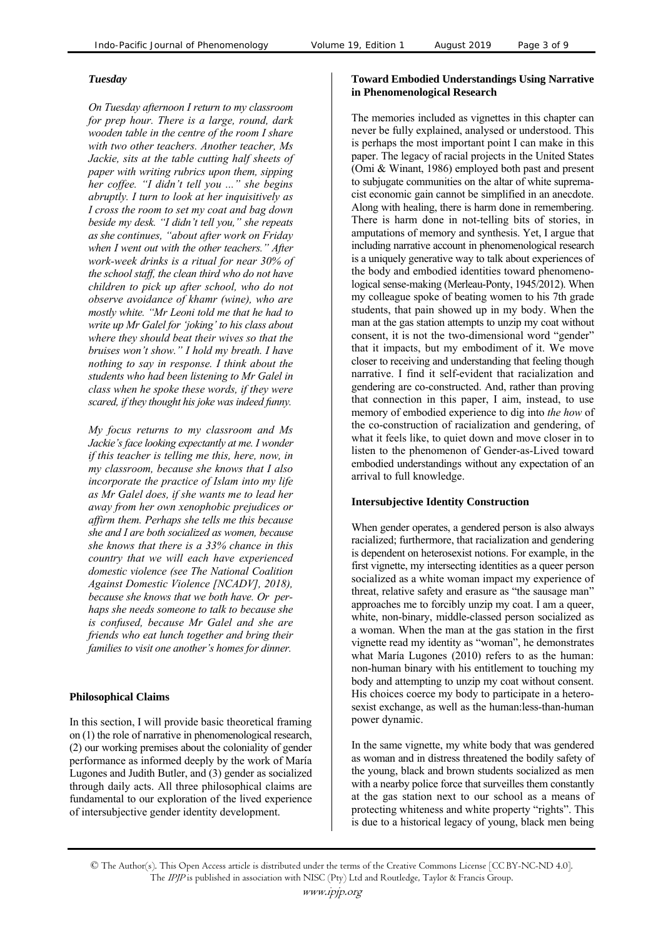# *Tuesday*

*On Tuesday afternoon I return to my classroom for prep hour. There is a large, round, dark wooden table in the centre of the room I share with two other teachers. Another teacher, Ms Jackie, sits at the table cutting half sheets of paper with writing rubrics upon them, sipping her coffee. "I didn't tell you ..." she begins abruptly. I turn to look at her inquisitively as I cross the room to set my coat and bag down beside my desk. "I didn't tell you," she repeats as she continues, "about after work on Friday when I went out with the other teachers." After work-week drinks is a ritual for near 30% of the school staff, the clean third who do not have children to pick up after school, who do not observe avoidance of khamr (wine), who are mostly white. "Mr Leoni told me that he had to write up Mr Galel for 'joking' to his class about where they should beat their wives so that the bruises won't show." I hold my breath. I have nothing to say in response. I think about the students who had been listening to Mr Galel in class when he spoke these words, if they were scared, if they thought his joke was indeed funny.* 

*My focus returns to my classroom and Ms Jackie's face looking expectantly at me. I wonder if this teacher is telling me this, here, now, in my classroom, because she knows that I also incorporate the practice of Islam into my life as Mr Galel does, if she wants me to lead her away from her own xenophobic prejudices or affirm them. Perhaps she tells me this because she and I are both socialized as women, because she knows that there is a 33% chance in this country that we will each have experienced domestic violence (see The National Coalition Against Domestic Violence [NCADV], 2018), because she knows that we both have. Or perhaps she needs someone to talk to because she is confused, because Mr Galel and she are friends who eat lunch together and bring their families to visit one another's homes for dinner.* 

# **Philosophical Claims**

In this section, I will provide basic theoretical framing on (1) the role of narrative in phenomenological research, (2) our working premises about the coloniality of gender performance as informed deeply by the work of María Lugones and Judith Butler, and (3) gender as socialized through daily acts. All three philosophical claims are fundamental to our exploration of the lived experience of intersubjective gender identity development.

# **Toward Embodied Understandings Using Narrative in Phenomenological Research**

The memories included as vignettes in this chapter can never be fully explained, analysed or understood. This is perhaps the most important point I can make in this paper. The legacy of racial projects in the United States (Omi & Winant, 1986) employed both past and present to subjugate communities on the altar of white supremacist economic gain cannot be simplified in an anecdote. Along with healing, there is harm done in remembering. There is harm done in not-telling bits of stories, in amputations of memory and synthesis. Yet, I argue that including narrative account in phenomenological research is a uniquely generative way to talk about experiences of the body and embodied identities toward phenomenological sense-making (Merleau-Ponty, 1945/2012). When my colleague spoke of beating women to his 7th grade students, that pain showed up in my body. When the man at the gas station attempts to unzip my coat without consent, it is not the two-dimensional word "gender" that it impacts, but my embodiment of it. We move closer to receiving and understanding that feeling though narrative. I find it self-evident that racialization and gendering are co-constructed. And, rather than proving that connection in this paper, I aim, instead, to use memory of embodied experience to dig into *the how* of the co-construction of racialization and gendering, of what it feels like, to quiet down and move closer in to listen to the phenomenon of Gender-as-Lived toward embodied understandings without any expectation of an arrival to full knowledge.

# **Intersubjective Identity Construction**

When gender operates, a gendered person is also always racialized; furthermore, that racialization and gendering is dependent on heterosexist notions. For example, in the first vignette, my intersecting identities as a queer person socialized as a white woman impact my experience of threat, relative safety and erasure as "the sausage man" approaches me to forcibly unzip my coat. I am a queer, white, non-binary, middle-classed person socialized as a woman. When the man at the gas station in the first vignette read my identity as "woman", he demonstrates what María Lugones (2010) refers to as the human: non-human binary with his entitlement to touching my body and attempting to unzip my coat without consent. His choices coerce my body to participate in a heterosexist exchange, as well as the human:less-than-human power dynamic.

In the same vignette, my white body that was gendered as woman and in distress threatened the bodily safety of the young, black and brown students socialized as men with a nearby police force that surveilles them constantly at the gas station next to our school as a means of protecting whiteness and white property "rights". This is due to a historical legacy of young, black men being

<sup>©</sup> The Author(s). This Open Access article is distributed under the terms of the Creative Commons License [CC BY-NC-ND 4.0]. The IPJP is published in association with NISC (Pty) Ltd and Routledge, Taylor & Francis Group.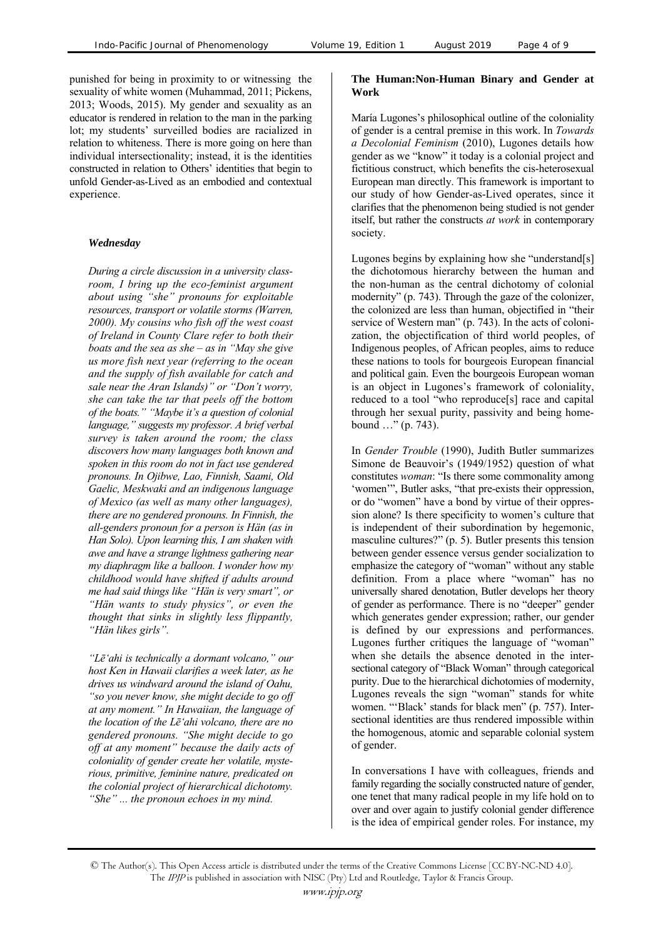punished for being in proximity to or witnessing the sexuality of white women (Muhammad, 2011; Pickens, 2013; Woods, 2015). My gender and sexuality as an educator is rendered in relation to the man in the parking lot; my students' surveilled bodies are racialized in relation to whiteness. There is more going on here than individual intersectionality; instead, it is the identities constructed in relation to Others' identities that begin to unfold Gender-as-Lived as an embodied and contextual experience.

#### *Wednesday*

*During a circle discussion in a university classroom, I bring up the eco-feminist argument about using "she" pronouns for exploitable resources, transport or volatile storms (Warren, 2000). My cousins who fish off the west coast of Ireland in County Clare refer to both their boats and the sea as she – as in "May she give us more fish next year (referring to the ocean and the supply of fish available for catch and sale near the Aran Islands)" or "Don't worry, she can take the tar that peels off the bottom of the boats." "Maybe it's a question of colonial language," suggests my professor. A brief verbal survey is taken around the room; the class discovers how many languages both known and spoken in this room do not in fact use gendered pronouns. In Ojibwe, Lao, Finnish, Saami, Old Gaelic, Meskwaki and an indigenous language of Mexico (as well as many other languages), there are no gendered pronouns. In Finnish, the all-genders pronoun for a person is Hän (as in Han Solo). Upon learning this, I am shaken with awe and have a strange lightness gathering near my diaphragm like a balloon. I wonder how my childhood would have shifted if adults around me had said things like "Hän is very smart", or "Hän wants to study physics", or even the thought that sinks in slightly less flippantly, "Hän likes girls".* 

*"Lē'ahi is technically a dormant volcano," our host Ken in Hawaii clarifies a week later, as he drives us windward around the island of Oahu, "so you never know, she might decide to go off at any moment." In Hawaiian, the language of the location of the Lē'ahi volcano, there are no gendered pronouns. "She might decide to go off at any moment" because the daily acts of coloniality of gender create her volatile, mysterious, primitive, feminine nature, predicated on the colonial project of hierarchical dichotomy. "She" ... the pronoun echoes in my mind.*

## **The Human:Non-Human Binary and Gender at Work**

María Lugones's philosophical outline of the coloniality of gender is a central premise in this work. In *Towards a Decolonial Feminism* (2010), Lugones details how gender as we "know" it today is a colonial project and fictitious construct, which benefits the cis-heterosexual European man directly. This framework is important to our study of how Gender-as-Lived operates, since it clarifies that the phenomenon being studied is not gender itself, but rather the constructs *at work* in contemporary society.

Lugones begins by explaining how she "understand[s] the dichotomous hierarchy between the human and the non-human as the central dichotomy of colonial modernity" (p. 743). Through the gaze of the colonizer, the colonized are less than human, objectified in "their service of Western man" (p. 743). In the acts of colonization, the objectification of third world peoples, of Indigenous peoples, of African peoples, aims to reduce these nations to tools for bourgeois European financial and political gain. Even the bourgeois European woman is an object in Lugones's framework of coloniality, reduced to a tool "who reproduce[s] race and capital through her sexual purity, passivity and being homebound …" (p. 743).

In *Gender Trouble* (1990), Judith Butler summarizes Simone de Beauvoir's (1949/1952) question of what constitutes *woman*: "Is there some commonality among 'women'", Butler asks, "that pre-exists their oppression, or do "women" have a bond by virtue of their oppression alone? Is there specificity to women's culture that is independent of their subordination by hegemonic, masculine cultures?" (p. 5). Butler presents this tension between gender essence versus gender socialization to emphasize the category of "woman" without any stable definition. From a place where "woman" has no universally shared denotation, Butler develops her theory of gender as performance. There is no "deeper" gender which generates gender expression; rather, our gender is defined by our expressions and performances. Lugones further critiques the language of "woman" when she details the absence denoted in the intersectional category of "Black Woman" through categorical purity. Due to the hierarchical dichotomies of modernity, Lugones reveals the sign "woman" stands for white women. "'Black' stands for black men" (p. 757). Intersectional identities are thus rendered impossible within the homogenous, atomic and separable colonial system of gender.

In conversations I have with colleagues, friends and family regarding the socially constructed nature of gender, one tenet that many radical people in my life hold on to over and over again to justify colonial gender difference is the idea of empirical gender roles. For instance, my

<sup>©</sup> The Author(s). This Open Access article is distributed under the terms of the Creative Commons License [CC BY-NC-ND 4.0]. The IPJP is published in association with NISC (Pty) Ltd and Routledge, Taylor & Francis Group.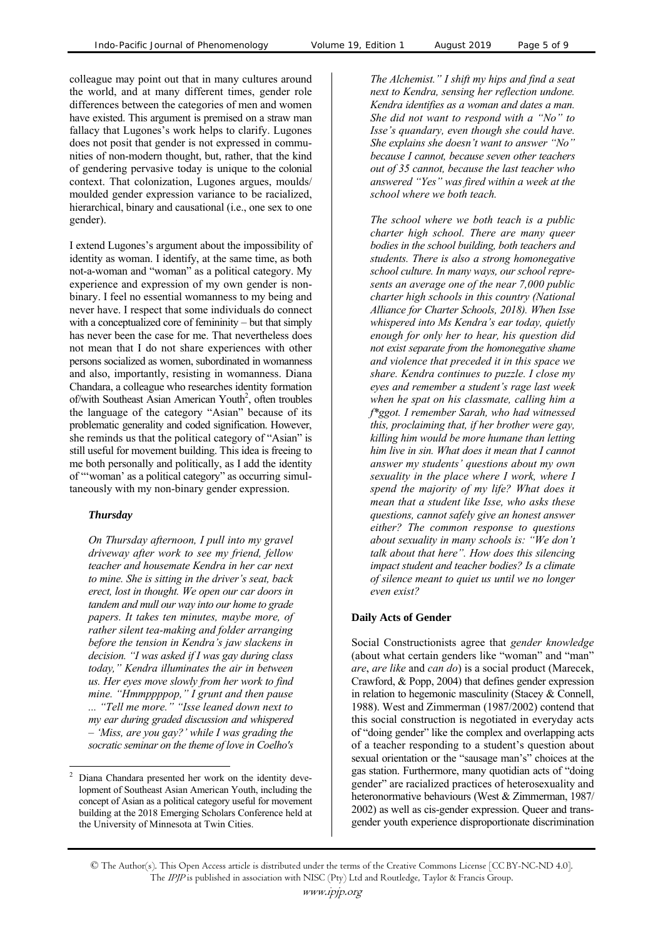colleague may point out that in many cultures around the world, and at many different times, gender role differences between the categories of men and women have existed. This argument is premised on a straw man fallacy that Lugones's work helps to clarify. Lugones does not posit that gender is not expressed in communities of non-modern thought, but, rather, that the kind of gendering pervasive today is unique to the colonial context. That colonization, Lugones argues, moulds/ moulded gender expression variance to be racialized, hierarchical, binary and causational (i.e., one sex to one gender).

I extend Lugones's argument about the impossibility of identity as woman. I identify, at the same time, as both not-a-woman and "woman" as a political category. My experience and expression of my own gender is nonbinary. I feel no essential womanness to my being and never have. I respect that some individuals do connect with a conceptualized core of femininity – but that simply has never been the case for me. That nevertheless does not mean that I do not share experiences with other persons socialized as women, subordinated in womanness and also, importantly, resisting in womanness. Diana Chandara, a colleague who researches identity formation of/with Southeast Asian American Youth<sup>2</sup>, often troubles the language of the category "Asian" because of its problematic generality and coded signification. However, she reminds us that the political category of "Asian" is still useful for movement building. This idea is freeing to me both personally and politically, as I add the identity of "'woman' as a political category" as occurring simultaneously with my non-binary gender expression.

#### *Thursday*

 $\overline{a}$ 

*On Thursday afternoon, I pull into my gravel driveway after work to see my friend, fellow teacher and housemate Kendra in her car next to mine. She is sitting in the driver's seat, back erect, lost in thought. We open our car doors in tandem and mull our way into our home to grade papers. It takes ten minutes, maybe more, of rather silent tea-making and folder arranging before the tension in Kendra's jaw slackens in decision. "I was asked if I was gay during class today," Kendra illuminates the air in between us. Her eyes move slowly from her work to find mine. "Hmmppppop," I grunt and then pause ... "Tell me more." "Isse leaned down next to my ear during graded discussion and whispered – 'Miss, are you gay?' while I was grading the socratic seminar on the theme of love in Coelho's* 

*The Alchemist." I shift my hips and find a seat next to Kendra, sensing her reflection undone. Kendra identifies as a woman and dates a man. She did not want to respond with a "No" to Isse's quandary, even though she could have. She explains she doesn't want to answer "No" because I cannot, because seven other teachers out of 35 cannot, because the last teacher who answered "Yes" was fired within a week at the school where we both teach.* 

*The school where we both teach is a public charter high school. There are many queer bodies in the school building, both teachers and students. There is also a strong homonegative school culture. In many ways, our school represents an average one of the near 7,000 public charter high schools in this country (National Alliance for Charter Schools, 2018). When Isse whispered into Ms Kendra's ear today, quietly enough for only her to hear, his question did not exist separate from the homonegative shame and violence that preceded it in this space we share. Kendra continues to puzzle. I close my eyes and remember a student's rage last week when he spat on his classmate, calling him a f\*ggot. I remember Sarah, who had witnessed this, proclaiming that, if her brother were gay, killing him would be more humane than letting him live in sin. What does it mean that I cannot answer my students' questions about my own sexuality in the place where I work, where I spend the majority of my life? What does it mean that a student like Isse, who asks these questions, cannot safely give an honest answer either? The common response to questions about sexuality in many schools is: "We don't talk about that here". How does this silencing impact student and teacher bodies? Is a climate of silence meant to quiet us until we no longer even exist?* 

#### **Daily Acts of Gender**

Social Constructionists agree that *gender knowledge*  (about what certain genders like "woman" and "man" *are*, *are like* and *can do*) is a social product (Marecek, Crawford, & Popp, 2004) that defines gender expression in relation to hegemonic masculinity (Stacey & Connell, 1988). West and Zimmerman (1987/2002) contend that this social construction is negotiated in everyday acts of "doing gender" like the complex and overlapping acts of a teacher responding to a student's question about sexual orientation or the "sausage man's" choices at the gas station. Furthermore, many quotidian acts of "doing gender" are racialized practices of heterosexuality and heteronormative behaviours (West & Zimmerman, 1987/ 2002) as well as cis-gender expression. Queer and transgender youth experience disproportionate discrimination

<sup>2</sup> Diana Chandara presented her work on the identity development of Southeast Asian American Youth, including the concept of Asian as a political category useful for movement building at the 2018 Emerging Scholars Conference held at the University of Minnesota at Twin Cities.

<sup>©</sup> The Author(s). This Open Access article is distributed under the terms of the Creative Commons License [CC BY-NC-ND 4.0]. The IPJP is published in association with NISC (Pty) Ltd and Routledge, Taylor & Francis Group.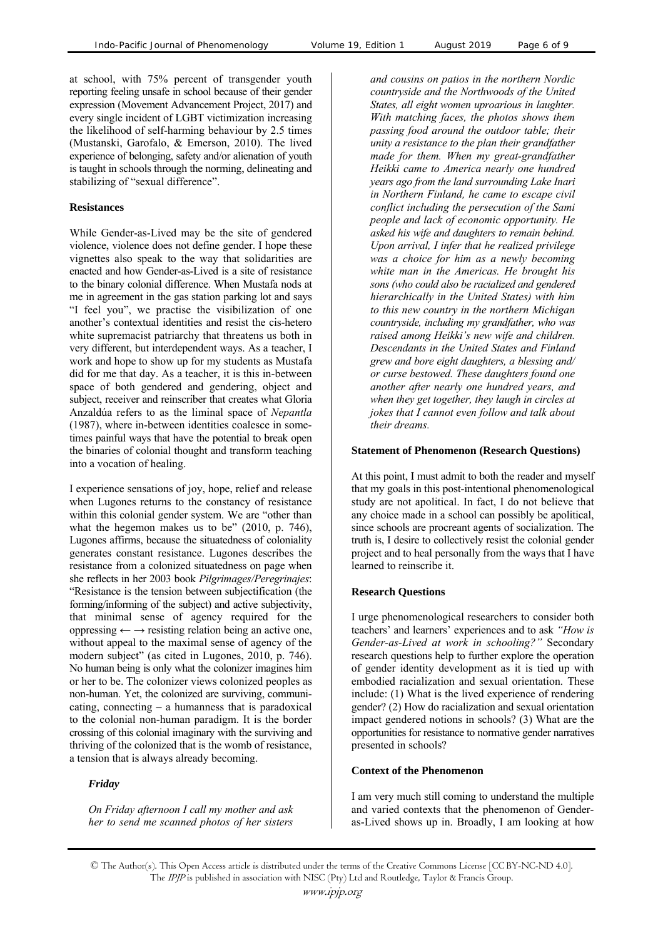at school, with 75% percent of transgender youth reporting feeling unsafe in school because of their gender expression (Movement Advancement Project, 2017) and every single incident of LGBT victimization increasing the likelihood of self-harming behaviour by 2.5 times (Mustanski, Garofalo, & Emerson, 2010). The lived experience of belonging, safety and/or alienation of youth is taught in schools through the norming, delineating and stabilizing of "sexual difference".

## **Resistances**

While Gender-as-Lived may be the site of gendered violence, violence does not define gender. I hope these vignettes also speak to the way that solidarities are enacted and how Gender-as-Lived is a site of resistance to the binary colonial difference. When Mustafa nods at me in agreement in the gas station parking lot and says "I feel you", we practise the visibilization of one another's contextual identities and resist the cis-hetero white supremacist patriarchy that threatens us both in very different, but interdependent ways. As a teacher, I work and hope to show up for my students as Mustafa did for me that day. As a teacher, it is this in-between space of both gendered and gendering, object and subject, receiver and reinscriber that creates what Gloria Anzaldúa refers to as the liminal space of *Nepantla*  (1987), where in-between identities coalesce in sometimes painful ways that have the potential to break open the binaries of colonial thought and transform teaching into a vocation of healing.

I experience sensations of joy, hope, relief and release when Lugones returns to the constancy of resistance within this colonial gender system. We are "other than what the hegemon makes us to be" (2010, p. 746), Lugones affirms, because the situatedness of coloniality generates constant resistance. Lugones describes the resistance from a colonized situatedness on page when she reflects in her 2003 book *Pilgrimages/Peregrinajes*: "Resistance is the tension between subjectification (the forming/informing of the subject) and active subjectivity, that minimal sense of agency required for the oppressing  $\leftarrow \rightarrow$  resisting relation being an active one, without appeal to the maximal sense of agency of the modern subject" (as cited in Lugones, 2010, p. 746). No human being is only what the colonizer imagines him or her to be. The colonizer views colonized peoples as non-human. Yet, the colonized are surviving, communicating, connecting – a humanness that is paradoxical to the colonial non-human paradigm. It is the border crossing of this colonial imaginary with the surviving and thriving of the colonized that is the womb of resistance, a tension that is always already becoming.

# *Friday*

*On Friday afternoon I call my mother and ask her to send me scanned photos of her sisters* 

*and cousins on patios in the northern Nordic countryside and the Northwoods of the United States, all eight women uproarious in laughter. With matching faces, the photos shows them passing food around the outdoor table; their unity a resistance to the plan their grandfather made for them. When my great-grandfather Heikki came to America nearly one hundred years ago from the land surrounding Lake Inari in Northern Finland, he came to escape civil conflict including the persecution of the Sami people and lack of economic opportunity. He asked his wife and daughters to remain behind. Upon arrival, I infer that he realized privilege was a choice for him as a newly becoming white man in the Americas. He brought his sons (who could also be racialized and gendered hierarchically in the United States) with him to this new country in the northern Michigan countryside, including my grandfather, who was raised among Heikki's new wife and children. Descendants in the United States and Finland grew and bore eight daughters, a blessing and/ or curse bestowed. These daughters found one another after nearly one hundred years, and when they get together, they laugh in circles at jokes that I cannot even follow and talk about their dreams.* 

#### **Statement of Phenomenon (Research Questions)**

At this point, I must admit to both the reader and myself that my goals in this post-intentional phenomenological study are not apolitical. In fact, I do not believe that any choice made in a school can possibly be apolitical, since schools are procreant agents of socialization. The truth is, I desire to collectively resist the colonial gender project and to heal personally from the ways that I have learned to reinscribe it.

## **Research Questions**

I urge phenomenological researchers to consider both teachers' and learners' experiences and to ask *"How is Gender-as-Lived at work in schooling?"* Secondary research questions help to further explore the operation of gender identity development as it is tied up with embodied racialization and sexual orientation. These include: (1) What is the lived experience of rendering gender? (2) How do racialization and sexual orientation impact gendered notions in schools? (3) What are the opportunities for resistance to normative gender narratives presented in schools?

#### **Context of the Phenomenon**

I am very much still coming to understand the multiple and varied contexts that the phenomenon of Genderas-Lived shows up in. Broadly, I am looking at how

© The Author(s). This Open Access article is distributed under the terms of the Creative Commons License [CC BY-NC-ND 4.0]. The IPJP is published in association with NISC (Pty) Ltd and Routledge, Taylor & Francis Group.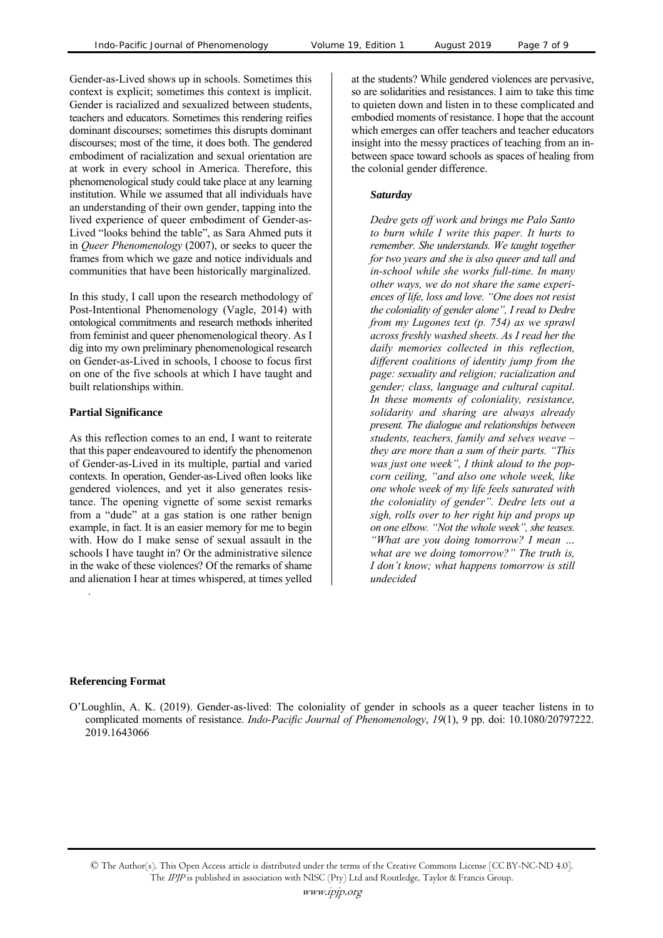Gender-as-Lived shows up in schools. Sometimes this context is explicit; sometimes this context is implicit. Gender is racialized and sexualized between students, teachers and educators. Sometimes this rendering reifies dominant discourses; sometimes this disrupts dominant discourses; most of the time, it does both. The gendered embodiment of racialization and sexual orientation are at work in every school in America. Therefore, this phenomenological study could take place at any learning institution. While we assumed that all individuals have an understanding of their own gender, tapping into the lived experience of queer embodiment of Gender-as-Lived "looks behind the table", as Sara Ahmed puts it in *Queer Phenomenology* (2007), or seeks to queer the frames from which we gaze and notice individuals and communities that have been historically marginalized.

In this study, I call upon the research methodology of Post-Intentional Phenomenology (Vagle, 2014) with ontological commitments and research methods inherited from feminist and queer phenomenological theory. As I dig into my own preliminary phenomenological research on Gender-as-Lived in schools, I choose to focus first on one of the five schools at which I have taught and built relationships within.

# **Partial Significance**

As this reflection comes to an end, I want to reiterate that this paper endeavoured to identify the phenomenon of Gender-as-Lived in its multiple, partial and varied contexts. In operation, Gender-as-Lived often looks like gendered violences, and yet it also generates resistance. The opening vignette of some sexist remarks from a "dude" at a gas station is one rather benign example, in fact. It is an easier memory for me to begin with. How do I make sense of sexual assault in the schools I have taught in? Or the administrative silence in the wake of these violences? Of the remarks of shame and alienation I hear at times whispered, at times yelled *.* 

at the students? While gendered violences are pervasive, so are solidarities and resistances. I aim to take this time to quieten down and listen in to these complicated and embodied moments of resistance. I hope that the account which emerges can offer teachers and teacher educators insight into the messy practices of teaching from an inbetween space toward schools as spaces of healing from the colonial gender difference.

## *Saturday*

*Dedre gets off work and brings me Palo Santo to burn while I write this paper. It hurts to remember. She understands. We taught together for two years and she is also queer and tall and in-school while she works full-time. In many other ways, we do not share the same experiences of life, loss and love. "One does not resist the coloniality of gender alone", I read to Dedre from my Lugones text (p. 754) as we sprawl across freshly washed sheets. As I read her the daily memories collected in this reflection, different coalitions of identity jump from the page: sexuality and religion; racialization and gender; class, language and cultural capital. In these moments of coloniality, resistance, solidarity and sharing are always already present. The dialogue and relationships between students, teachers, family and selves weave – they are more than a sum of their parts. "This was just one week", I think aloud to the popcorn ceiling, "and also one whole week, like one whole week of my life feels saturated with the coloniality of gender". Dedre lets out a sigh, rolls over to her right hip and props up on one elbow. "Not the whole week", she teases. "What are you doing tomorrow? I mean … what are we doing tomorrow?" The truth is, I don't know; what happens tomorrow is still undecided*

## **Referencing Format**

O'Loughlin, A. K. (2019). Gender-as-lived: The coloniality of gender in schools as a queer teacher listens in to complicated moments of resistance. *Indo-Pacific Journal of Phenomenology*, *19*(1), 9 pp. doi: 10.1080/20797222. 2019.1643066

© The Author(s). This Open Access article is distributed under the terms of the Creative Commons License [CC BY-NC-ND 4.0]. The IPJP is published in association with NISC (Pty) Ltd and Routledge, Taylor & Francis Group.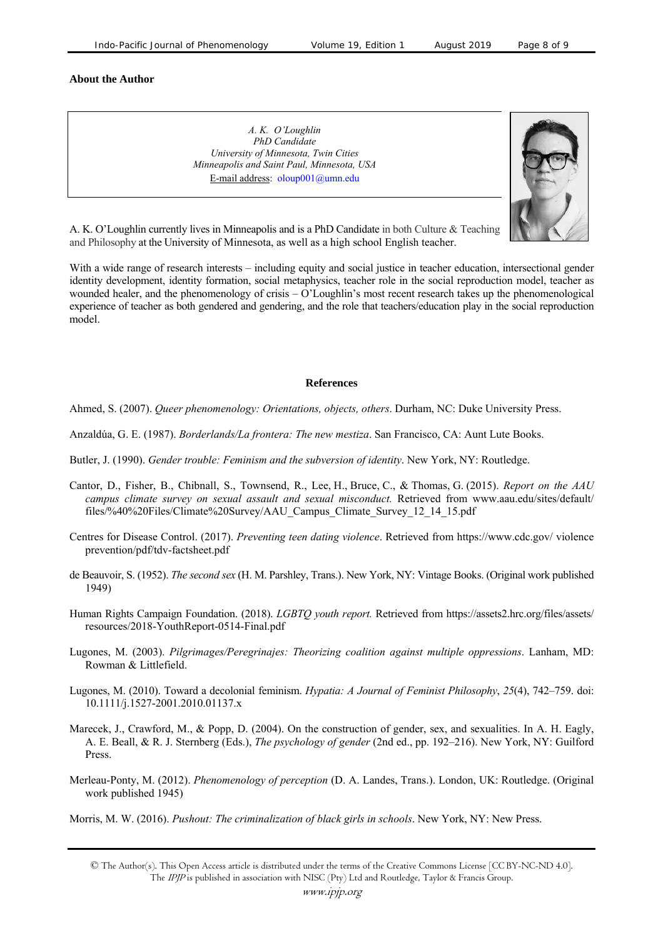## **About the Author**

*A. K. O'Loughlin PhD Candidate University of Minnesota, Twin Cities Minneapolis and Saint Paul, Minnesota, USA*  E-mail address: oloup001@umn.edu



A. K. O'Loughlin currently lives in Minneapolis and is a PhD Candidate in both Culture & Teaching and Philosophy at the University of Minnesota, as well as a high school English teacher.

With a wide range of research interests – including equity and social justice in teacher education, intersectional gender identity development, identity formation, social metaphysics, teacher role in the social reproduction model, teacher as wounded healer, and the phenomenology of crisis – O'Loughlin's most recent research takes up the phenomenological experience of teacher as both gendered and gendering, and the role that teachers/education play in the social reproduction model.

#### **References**

Ahmed, S. (2007). *Queer phenomenology: Orientations, objects, others*. Durham, NC: Duke University Press.

- Anzaldúa, G. E. (1987). *Borderlands/La frontera: The new mestiza*. San Francisco, CA: Aunt Lute Books.
- Butler, J. (1990). *Gender trouble: Feminism and the subversion of identity*. New York, NY: Routledge.
- Cantor, D., Fisher, B., Chibnall, S., Townsend, R., Lee, H., Bruce, C., & Thomas, G. (2015). *Report on the AAU campus climate survey on sexual assault and sexual misconduct.* Retrieved from www.aau.edu/sites/default/ files/%40%20Files/Climate%20Survey/AAU\_Campus\_Climate\_Survey\_12\_14\_15.pdf
- Centres for Disease Control. (2017). *Preventing teen dating violence*. Retrieved from https://www.cdc.gov/ violence prevention/pdf/tdv-factsheet.pdf
- de Beauvoir, S. (1952). *The second sex* (H. M. Parshley, Trans.). New York, NY: Vintage Books. (Original work published 1949)
- Human Rights Campaign Foundation. (2018). *LGBTQ youth report.* Retrieved from https://assets2.hrc.org/files/assets/ resources/2018-YouthReport-0514-Final.pdf
- Lugones, M. (2003). *Pilgrimages/Peregrinajes: Theorizing coalition against multiple oppressions*. Lanham, MD: Rowman & Littlefield.
- Lugones, M. (2010). Toward a decolonial feminism. *Hypatia: A Journal of Feminist Philosophy*, *25*(4), 742–759. doi: 10.1111/j.1527-2001.2010.01137.x
- Marecek, J., Crawford, M., & Popp, D. (2004). On the construction of gender, sex, and sexualities. In A. H. Eagly, A. E. Beall, & R. J. Sternberg (Eds.), *The psychology of gender* (2nd ed., pp. 192–216). New York, NY: Guilford Press.
- Merleau-Ponty, M. (2012). *Phenomenology of perception* (D. A. Landes, Trans.). London, UK: Routledge. (Original work published 1945)

Morris, M. W. (2016). *Pushout: The criminalization of black girls in schools*. New York, NY: New Press.

<sup>©</sup> The Author(s). This Open Access article is distributed under the terms of the Creative Commons License [CC BY-NC-ND 4.0]. The IPJP is published in association with NISC (Pty) Ltd and Routledge, Taylor & Francis Group.